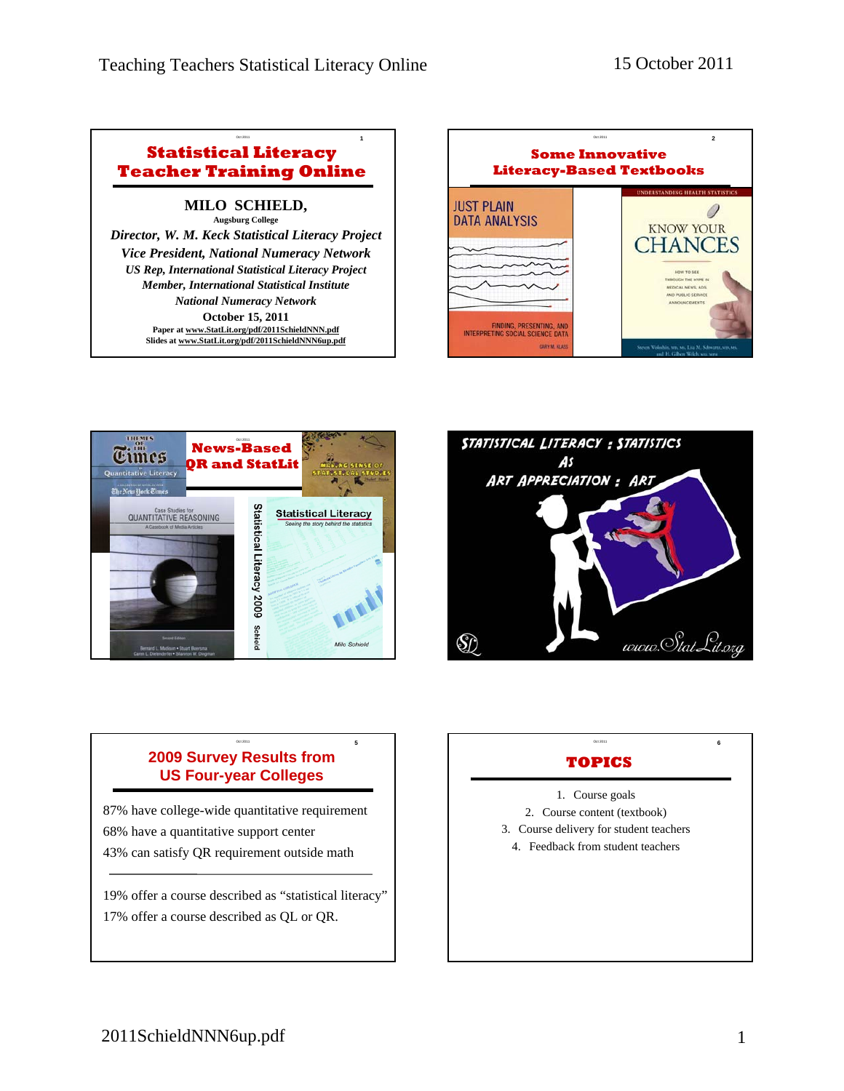## Oct 2011 **1 Statistical Literacy Teacher Training Online**

## **MILO SCHIELD, Augsburg College**

*Director, W. M. Keck Statistical Literacy Project Vice President, National Numeracy Network US Rep, International Statistical Literacy Project Member, International Statistical Institute National Numeracy Network* **October 15, 2011 Paper at www.StatLit.org/pdf/2011SchieldNNN.pdf Slides at www.StatLit.org/pdf/2011SchieldNNN6up.pdf**







#### Oct 2011 **5 2009 Survey Results from US Four-year Colleges**

87% have college-wide quantitative requirement 68% have a quantitative support center 43% can satisfy QR requirement outside math

19% offer a course described as "statistical literacy" 17% offer a course described as QL or QR.

# **TOPICS**

Oct 2011 **6**

1. Course goals

- 2. Course content (textbook)
- 3. Course delivery for student teachers
	- 4. Feedback from student teachers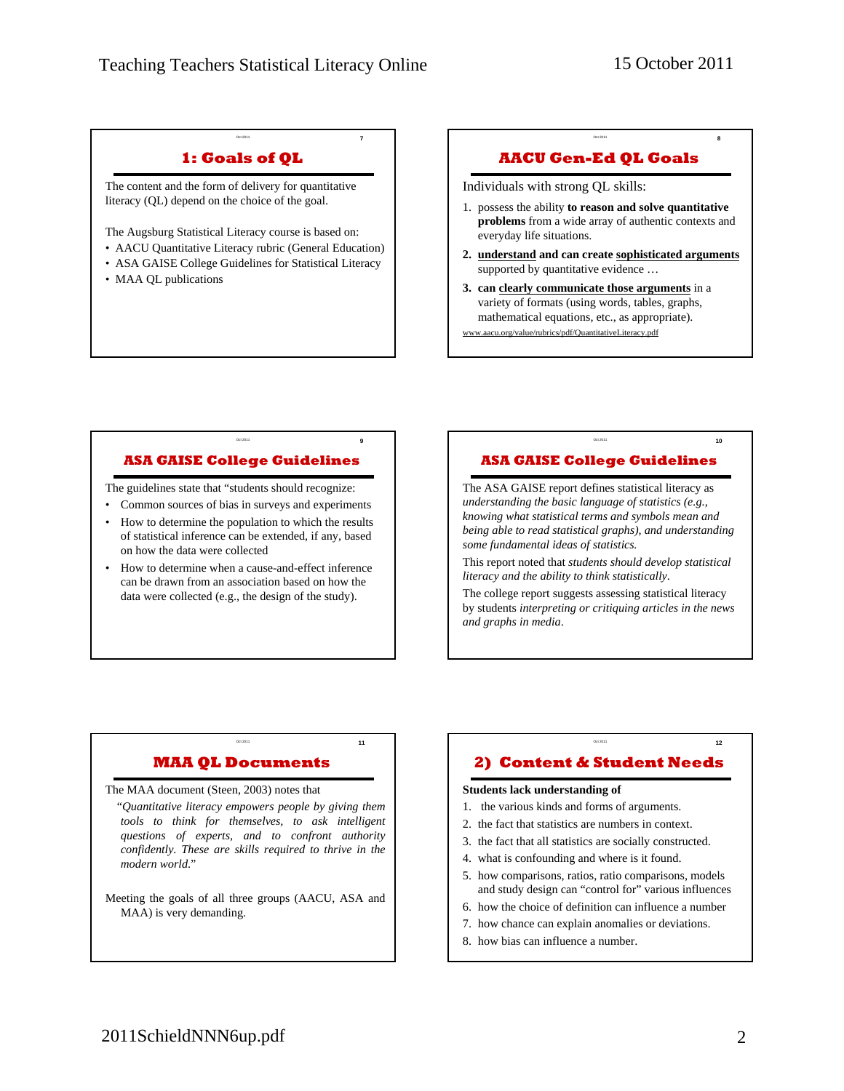Oct 2011 **7**

Oct 2011 **8**

Oct 2011 **10** 

Oct 2011 **12** 

# **1: Goals of QL**

The content and the form of delivery for quantitative literacy (QL) depend on the choice of the goal.

The Augsburg Statistical Literacy course is based on:

- AACU Quantitative Literacy rubric (General Education)
- ASA GAISE College Guidelines for Statistical Literacy
- MAA QL publications

# **AACU Gen-Ed QL Goals**

Individuals with strong QL skills:

- 1. possess the ability **to reason and solve quantitative problems** from a wide array of authentic contexts and everyday life situations.
- **2. understand and can create sophisticated arguments** supported by quantitative evidence ...
- **3. can clearly communicate those arguments** in a variety of formats (using words, tables, graphs, mathematical equations, etc., as appropriate).

.aacu.org/value/rubrics/pdf/QuantitativeLiteracy.pdf

# **ASA GAISE College Guidelines**

Oct 2011 **9**

The guidelines state that "students should recognize:

- Common sources of bias in surveys and experiments
- How to determine the population to which the results of statistical inference can be extended, if any, based on how the data were collected
- How to determine when a cause-and-effect inference can be drawn from an association based on how the data were collected (e.g., the design of the study).

# **ASA GAISE College Guidelines**

The ASA GAISE report defines statistical literacy as *understanding the basic language of statistics (e.g., knowing what statistical terms and symbols mean and being able to read statistical graphs), and understanding some fundamental ideas of statistics.*

This report noted that *students should develop statistical literacy and the ability to think statistically*.

The college report suggests assessing statistical literacy by students *interpreting or critiquing articles in the news and graphs in media*.

# **MAA QL Documents**

Oct 2011 **11** 

The MAA document (Steen, 2003) notes that

"*Quantitative literacy empowers people by giving them tools to think for themselves, to ask intelligent questions of experts, and to confront authority confidently. These are skills required to thrive in the modern world*."

Meeting the goals of all three groups (AACU, ASA and MAA) is very demanding.

# **2) Content & Student Needs**

#### **Students lack understanding of**

- 1. the various kinds and forms of arguments.
- 2. the fact that statistics are numbers in context.
- 3. the fact that all statistics are socially constructed.
- 4. what is confounding and where is it found.
- 5. how comparisons, ratios, ratio comparisons, models and study design can "control for" various influences
- 6. how the choice of definition can influence a number
- 7. how chance can explain anomalies or deviations.
- 8. how bias can influence a number.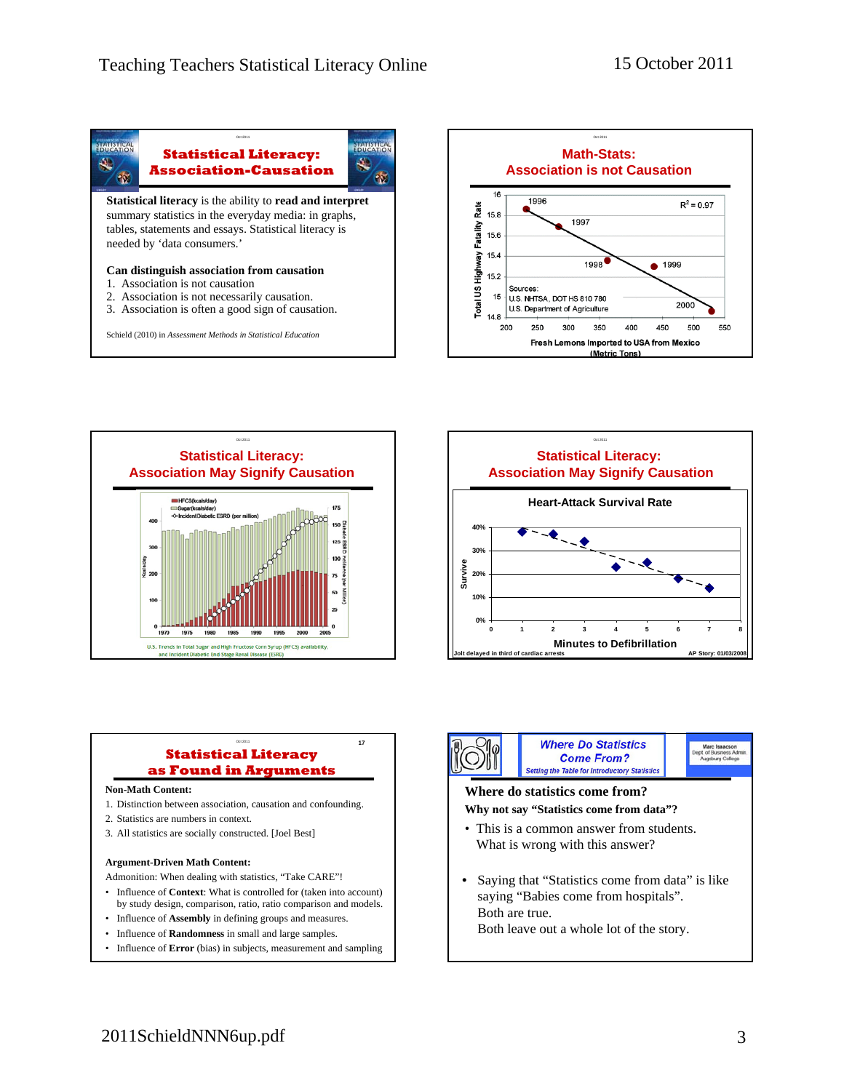







#### Oct 2011 **17 Statistical Literacy as Found in Arguments**

#### **Non-Math Content:**

- 1. Distinction between association, causation and confounding.
- 2. Statistics are numbers in context.
- 3. All statistics are socially constructed. [Joel Best]

#### **Argument-Driven Math Content:**

Admonition: When dealing with statistics, "Take CARE"!

- Influence of **Context**: What is controlled for (taken into account) by study design, comparison, ratio, ratio comparison and models.
- Influence of **Assembly** in defining groups and measures.
- Influence of **Randomness** in small and large samples.
- Influence of **Error** (bias) in subjects, measurement and sampling



- **Why not say "Statistics come from data"?**
- This is a common answer from students. What is wrong with this answer?
- Saying that "Statistics come from data" is like saying "Babies come from hospitals". Both are true. Both leave out a whole lot of the story.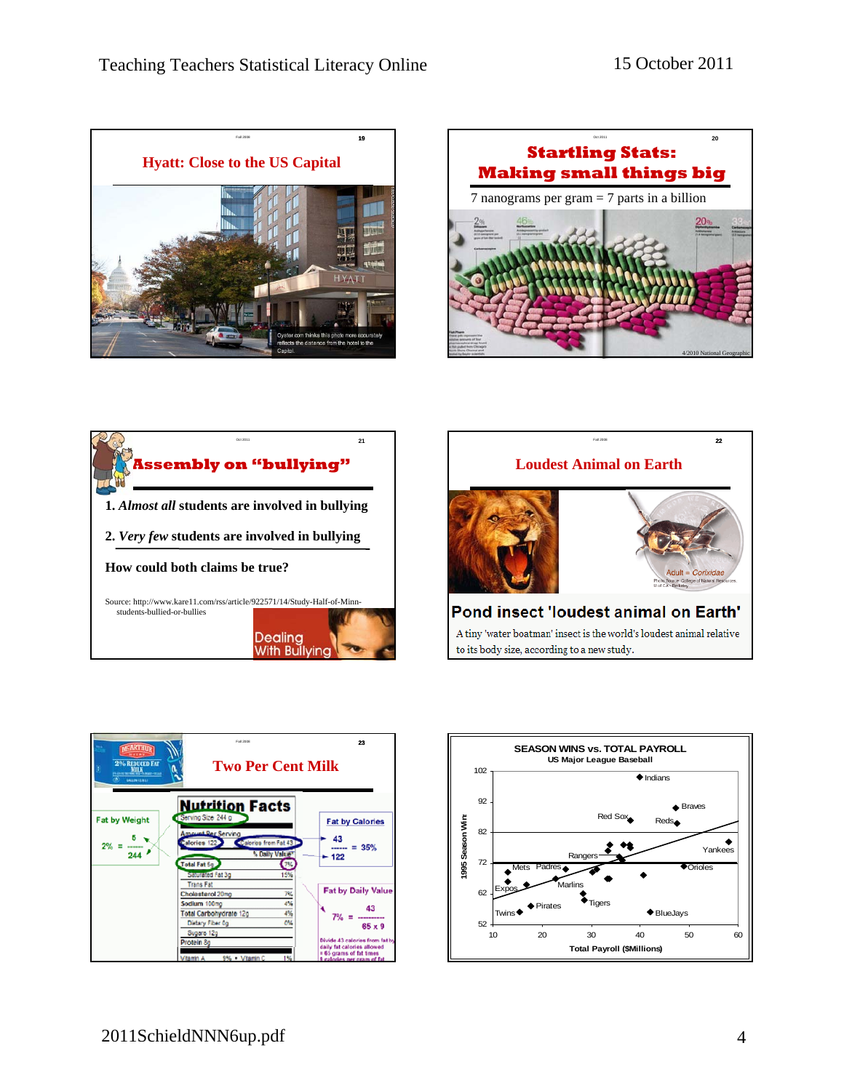









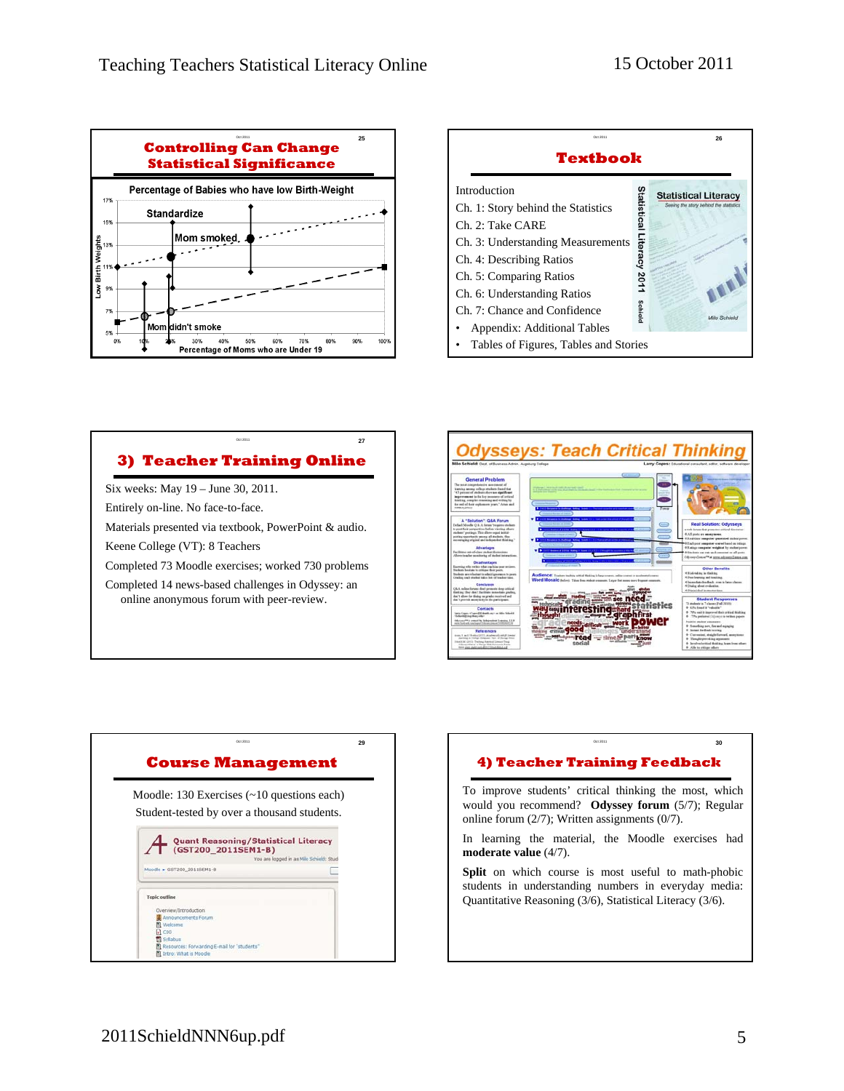



# **3) Teacher Training Online**

Oct 2011 **27**

Six weeks: May 19 – June 30, 2011.

Entirely on-line. No face-to-face.

Materials presented via textbook, PowerPoint & audio.

Keene College (VT): 8 Teachers

Completed 73 Moodle exercises; worked 730 problems

Completed 14 news-based challenges in Odyssey: an online anonymous forum with peer-review.



| Student-tested by over a thousand students.<br><b>Quant Reasoning/Statistical Literacy</b><br>(GST200 2011SEM1-B)<br>Moodle > GST200 2011SEM1-B | You are logged in as Milo Schield: Stud |
|-------------------------------------------------------------------------------------------------------------------------------------------------|-----------------------------------------|
|                                                                                                                                                 |                                         |
|                                                                                                                                                 |                                         |
| <b>Topic outline</b>                                                                                                                            |                                         |
| Overview/Introduction<br>Announcements Forum<br><b>M</b> Welcome                                                                                |                                         |
| C00<br><b>EU Syllabus</b><br>Resources: Forwarding E-mail for "students"<br><b>Intro:</b> What is Moodle                                        |                                         |

# **4) Teacher Training Feedback**

Oct 2011 **30** 

To improve students' critical thinking the most, which would you recommend? **Odyssey forum** (5/7); Regular online forum (2/7); Written assignments (0/7).

In learning the material, the Moodle exercises had **moderate value** (4/7).

Split on which course is most useful to math-phobic students in understanding numbers in everyday media: Quantitative Reasoning (3/6), Statistical Literacy (3/6).